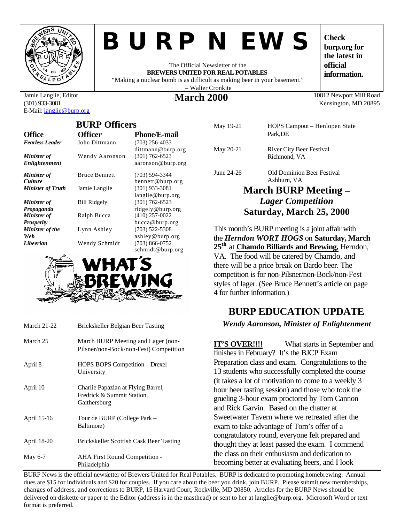

# *BURP NEWS*

The Official Newsletter of the **BREWERS UNITED FOR REAL POTABLES** "Making a nuclear bomb is as difficult as making beer in your basement."

– Walter Cronkite

**burp.org for the latest in official information.**

Kensington, MD 20895

**Check** 

#### Jamie Langlie, Editor (301) 933-3081 E-Mail: langlie@burp.org

**BURP Officers Office Officer Phone/E-mail** *Fearless Leader* John Dittmann (703) 256-4033 dittmann@burp.org<br>(301) 762-6523 *Minister of Enlightenment* Wendy Aaronson aaronson@burp.org *Minister of Culture* Bruce Bennett (703) 594-3344 bennett@burp.org *Minister of Truth* Jamie Langlie (301) 933-3081 langlie@burp.org *Minister of Propaganda* Bill Ridgely (301) 762-6523 ridgely@burp.org *Minister of Prosperity* Ralph Bucca (410) 257-0022 bucca@burp.org *Minister of the Web* Lynn Ashley (703) 522-5308 ashley@burp.org *Libeerian* Wendy Schmidt (703) 866-0752



| <b>March 21-22</b> | Brickskeller Belgian Beer Tasting                                                |
|--------------------|----------------------------------------------------------------------------------|
| March 25           | March BURP Meeting and Lager (non-<br>Pilsner/non-Bock/non-Fest) Competition     |
| April 8            | HOPS BOPS Competition - Drexel<br>University                                     |
| April 10           | Charlie Papazian at Flying Barrel,<br>Fredrick & Summit Station,<br>Gaithersburg |
| April 15-16        | Tour de BURP (College Park –<br>Baltimore)                                       |
| April 18-20        | Brickskeller Scottish Cask Beer Tasting                                          |
| May 6-7            | <b>AHA First Round Competition -</b><br>Philadelphia                             |

| March RHRP Meeting _ |                                          |  |
|----------------------|------------------------------------------|--|
|                      | Ashburn, VA                              |  |
| June 24-26           | <b>Old Dominion Beer Festival</b>        |  |
| May 20-21            | River City Beer Festival<br>Richmond, VA |  |
| May 19-21            | HOPS Campout – Henlopen State<br>Park.DE |  |

**March 2000** 10812 Newport Mill Road

# **March BURP Meeting –** *Lager Competition* **Saturday, March 25, 2000**

This month's BURP meeting is a joint affair with the *Herndon WORT HOGS* on **Saturday, March 25th** at **Chamdo Billiards and Brewing,** Herndon, VA. The food will be catered by Chamdo, and there will be a price break on Bardo beer. The competition is for non-Pilsner/non-Bock/non-Fest styles of lager. (See Bruce Bennett's article on page 4 for further information.)

# **BURP EDUCATION UPDATE**

*Wendy Aaronson, Minister of Enlightenment*

**IT'S OVER!!!!** What starts in September and finishes in February? It's the BJCP Exam Preparation class and exam. Congratulations to the 13 students who successfully completed the course (it takes a lot of motivation to come to a weekly 3 hour beer tasting session) and those who took the grueling 3-hour exam proctored by Tom Cannon and Rick Garvin. Based on the chatter at Sweetwater Tavern where we retreated after the exam to take advantage of Tom's offer of a congratulatory round, everyone felt prepared and thought they at least passed the exam. I commend the class on their enthusiasm and dedication to becoming better at evaluating beers, and I look

BURP News is the official newsletter of Brewers United for Real Potables. BURP is dedicated to promoting homebrewing. Annual dues are \$15 for individuals and \$20 for couples. If you care about the beer you drink, join BURP. Please submit new memberships, changes of address, and corrections to BURP, 15 Harvard Court, Rockville, MD 20850. Articles for the BURP News should be delivered on diskette or paper to the Editor (address is in the masthead) or sent to her at langlie@burp.org. Microsoft Word or text format is preferred.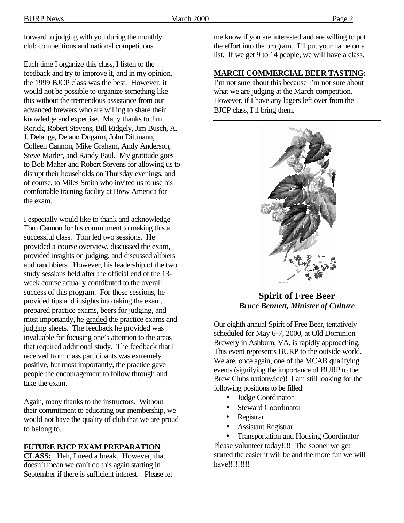forward to judging with you during the monthly club competitions and national competitions.

Each time I organize this class, I listen to the feedback and try to improve it, and in my opinion, the 1999 BJCP class was the best. However, it would not be possible to organize something like this without the tremendous assistance from our advanced brewers who are willing to share their knowledge and expertise. Many thanks to Jim Rorick, Robert Stevens, Bill Ridgely, Jim Busch, A. J. Delange, Delano Dugarm, John Dittmann, Colleen Cannon, Mike Graham, Andy Anderson, Steve Marler, and Randy Paul. My gratitude goes to Bob Maher and Robert Stevens for allowing us to disrupt their households on Thursday evenings, and of course, to Miles Smith who invited us to use his comfortable training facility at Brew America for the exam.

I especially would like to thank and acknowledge Tom Cannon for his commitment to making this a successful class. Tom led two sessions. He provided a course overview, discussed the exam, provided insights on judging, and discussed altbiers and rauchbiers. However, his leadership of the two study sessions held after the official end of the 13 week course actually contributed to the overall success of this program. For these sessions, he provided tips and insights into taking the exam, prepared practice exams, beers for judging, and most importantly, he graded the practice exams and judging sheets. The feedback he provided was invaluable for focusing one's attention to the areas that required additional study. The feedback that I received from class participants was extremely positive, but most importantly, the practice gave people the encouragement to follow through and take the exam.

Again, many thanks to the instructors. Without their commitment to educating our membership, we would not have the quality of club that we are proud to belong to.

#### **FUTURE BJCP EXAM PREPARATION**

**CLASS:** Heh, I need a break. However, that doesn't mean we can't do this again starting in September if there is sufficient interest. Please let me know if you are interested and are willing to put the effort into the program. I'll put your name on a list. If we get 9 to 14 people, we will have a class.

#### **MARCH COMMERCIAL BEER TASTING:**

I'm not sure about this because I'm not sure about what we are judging at the March competition. However, if I have any lagers left over from the BJCP class, I'll bring them.



**Spirit of Free Beer** *Bruce Bennett, Minister of Culture*

Our eighth annual Spirit of Free Beer, tentatively scheduled for May 6-7, 2000, at Old Dominion Brewery in Ashburn, VA, is rapidly approaching. This event represents BURP to the outside world. We are, once again, one of the MCAB qualifying events (signifying the importance of BURP to the Brew Clubs nationwide)! I am still looking for the following positions to be filled:

- Judge Coordinator
- Steward Coordinator
- Registrar
- Assistant Registrar

• Transportation and Housing Coordinator Please volunteer today!!!! The sooner we get started the easier it will be and the more fun we will have!!!!!!!!!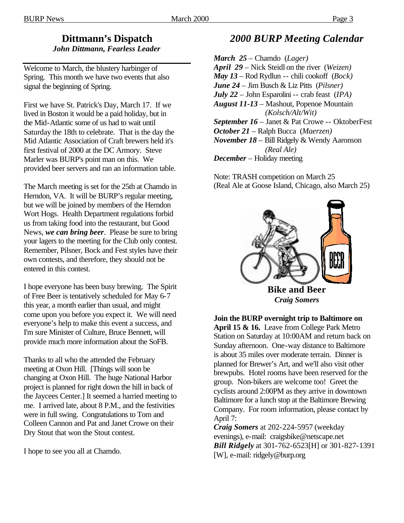# **Dittmann's Dispatch**

*John Dittmann, Fearless Leader*

Welcome to March, the blustery harbinger of Spring. This month we have two events that also signal the beginning of Spring.

First we have St. Patrick's Day, March 17. If we lived in Boston it would be a paid holiday, but in the Mid-Atlantic some of us had to wait until Saturday the 18th to celebrate. That is the day the Mid Atlantic Association of Craft brewers held it's first festival of 2000 at the DC Armory. Steve Marler was BURP's point man on this. We provided beer servers and ran an information table.

The March meeting is set for the 25th at Chamdo in Herndon, VA. It will be BURP's regular meeting, but we will be joined by members of the Herndon Wort Hogs. Health Department regulations forbid us from taking food into the restaurant, but Good News, *we can bring beer*. Please be sure to bring your lagers to the meeting for the Club only contest. Remember, Pilsner, Bock and Fest styles have their own contests, and therefore, they should not be entered in this contest.

I hope everyone has been busy brewing. The Spirit of Free Beer is tentatively scheduled for May 6-7 this year, a month earlier than usual, and might come upon you before you expect it. We will need everyone's help to make this event a success, and I'm sure Minister of Culture, Bruce Bennett, will provide much more information about the SoFB.

Thanks to all who the attended the February meeting at Oxon Hill. [Things will soon be changing at Oxon Hill. The huge National Harbor project is planned for right down the hill in back of the Jaycees Center.] It seemed a harried meeting to me. I arrived late, about 8 P.M., and the festivities were in full swing. Congratulations to Tom and Colleen Cannon and Pat and Janet Crowe on their Dry Stout that won the Stout contest.

I hope to see you all at Chamdo.

# *2000 BURP Meeting Calendar*

*March 25* – Chamdo (*Lager) April 29* – Nick Steidl on the river (*Weizen) May 13* – Rod Rydlun -- chili cookoff (*Bock) June 24* – Jim Busch & Liz Pitts (*Pilsner) July 22* – John Esparolini -- crab feast (*IPA) August 11-13* – Mashout, Popenoe Mountain  *(Kolsch/Alt/Wit) September 16* – Janet & Pat Crowe -- OktoberFest *October 21* – Ralph Bucca (*Maerzen) November 18* – Bill Ridgely & Wendy Aaronson  *(Real Ale) December* – Holiday meeting

Note: TRASH competition on March 25 (Real Ale at Goose Island, Chicago, also March 25)



*Craig Somers*

**Join the BURP overnight trip to Baltimore on April 15 & 16.** Leave from College Park Metro Station on Saturday at 10:00AM and return back on Sunday afternoon. One-way distance to Baltimore is about 35 miles over moderate terrain. Dinner is planned for Brewer's Art, and we'll also visit other brewpubs. Hotel rooms have been reserved for the group. Non-bikers are welcome too! Greet the cyclists around 2:00PM as they arrive in downtown Baltimore for a lunch stop at the Baltimore Brewing Company. For room information, please contact by April 7:

*Craig Somers* at 202-224-5957 (weekday evenings), e-mail: craigsbike@netscape.net *Bill Ridgely* at 301-762-6523[H] or 301-827-1391 [W], e-mail: ridgely@burp.org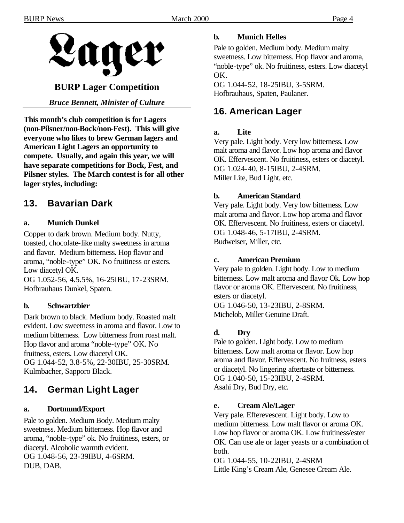

# **BURP Lager Competition**

*Bruce Bennett, Minister of Culture*

**This month's club competition is for Lagers (non-Pilsner/non-Bock/non-Fest). This will give everyone who likes to brew German lagers and American Light Lagers an opportunity to compete. Usually, and again this year, we will have separate competitions for Bock, Fest, and Pilsner styles. The March contest is for all other lager styles, including:**

# **13. Bavarian Dark**

#### **a. Munich Dunkel**

Copper to dark brown. Medium body. Nutty, toasted, chocolate-like malty sweetness in aroma and flavor. Medium bitterness. Hop flavor and aroma, "noble-type" OK. No fruitiness or esters. Low diacetyl OK.

OG 1.052-56, 4.5.5%, 16-25IBU, 17-23SRM. Hofbrauhaus Dunkel, Spaten.

#### **b. Schwartzbier**

Dark brown to black. Medium body. Roasted malt evident. Low sweetness in aroma and flavor. Low to medium bitterness. Low bitterness from roast malt. Hop flavor and aroma "noble-type" OK. No fruitness, esters. Low diacetyl OK. OG 1.044-52, 3.8-5%, 22-30IBU, 25-30SRM. Kulmbacher, Sapporo Black.

# **14. German Light Lager**

#### **a. Dortmund/Export**

Pale to golden. Medium Body. Medium malty sweetness. Medium bitterness. Hop flavor and aroma, "noble-type" ok. No fruitiness, esters, or diacetyl. Alcoholic warmth evident. OG 1.048-56, 23-39IBU, 4-6SRM. DUB, DAB.

#### **b. Munich Helles**

Pale to golden. Medium body. Medium malty sweetness. Low bitterness. Hop flavor and aroma, "noble-type" ok. No fruitiness, esters. Low diacetyl OK.

OG 1.044-52, 18-25IBU, 3-5SRM. Hofbrauhaus, Spaten, Paulaner.

# **16. American Lager**

#### **a. Lite**

Very pale. Light body. Very low bitterness. Low malt aroma and flavor. Low hop aroma and flavor OK. Effervescent. No fruitiness, esters or diacetyl. OG 1.024-40, 8-15IBU, 2-4SRM. Miller Lite, Bud Light, etc.

#### **b. American Standard**

Very pale. Light body. Very low bitterness. Low malt aroma and flavor. Low hop aroma and flavor OK. Effervescent. No fruitiness, esters or diacetyl. OG 1.048-46, 5-17IBU, 2-4SRM. Budweiser, Miller, etc.

#### **c. American Premium**

Very pale to golden. Light body. Low to medium bitterness. Low malt aroma and flavor Ok. Low hop flavor or aroma OK. Effervescent. No fruitiness, esters or diacetyl.

OG 1.046-50, 13-23IBU, 2-8SRM. Michelob, Miller Genuine Draft.

#### **d. Dry**

Pale to golden. Light body. Low to medium bitterness. Low malt aroma or flavor. Low hop aroma and flavor. Effervescent. No fruitness, esters or diacetyl. No lingering aftertaste or bitterness. OG 1.040-50, 15-23IBU, 2-4SRM. Asahi Dry, Bud Dry, etc.

#### **e. Cream Ale/Lager**

Very pale. Efferevescent. Light body. Low to medium bitterness. Low malt flavor or aroma OK. Low hop flavor or aroma OK. Low fruitiness/ester OK. Can use ale or lager yeasts or a combination of both.

OG 1.044-55, 10-22IBU, 2-4SRM Little King's Cream Ale, Genesee Cream Ale.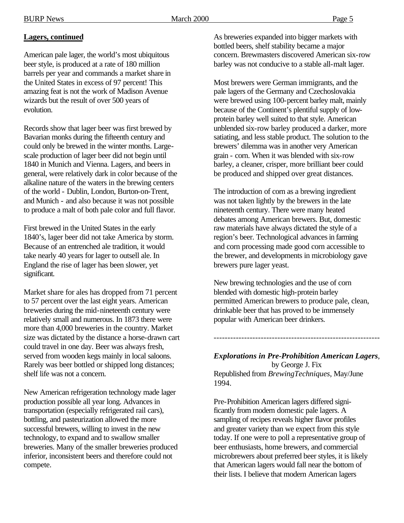### **Lagers, continued**

American pale lager, the world's most ubiquitous beer style, is produced at a rate of 180 million barrels per year and commands a market share in the United States in excess of 97 percent! This amazing feat is not the work of Madison Avenue wizards but the result of over 500 years of evolution.

Records show that lager beer was first brewed by Bavarian monks during the fifteenth century and could only be brewed in the winter months. Largescale production of lager beer did not begin until 1840 in Munich and Vienna. Lagers, and beers in general, were relatively dark in color because of the alkaline nature of the waters in the brewing centers of the world - Dublin, London, Burton-on-Trent, and Munich - and also because it was not possible to produce a malt of both pale color and full flavor.

First brewed in the United States in the early 1840's, lager beer did not take America by storm. Because of an entrenched ale tradition, it would take nearly 40 years for lager to outsell ale. In England the rise of lager has been slower, yet significant.

Market share for ales has dropped from 71 percent to 57 percent over the last eight years. American breweries during the mid-nineteenth century were relatively small and numerous. In 1873 there were more than 4,000 breweries in the country. Market size was dictated by the distance a horse-drawn cart could travel in one day. Beer was always fresh, served from wooden kegs mainly in local saloons. Rarely was beer bottled or shipped long distances; shelf life was not a concern.

New American refrigeration technology made lager production possible all year long. Advances in transportation (especially refrigerated rail cars), bottling, and pasteurization allowed the more successful brewers, willing to invest in the new technology, to expand and to swallow smaller breweries. Many of the smaller breweries produced inferior, inconsistent beers and therefore could not compete.

As breweries expanded into bigger markets with bottled beers, shelf stability became a major concern. Brewmasters discovered American six-row barley was not conducive to a stable all-malt lager.

Most brewers were German immigrants, and the pale lagers of the Germany and Czechoslovakia were brewed using 100-percent barley malt, mainly because of the Continent's plentiful supply of lowprotein barley well suited to that style. American unblended six-row barley produced a darker, more satiating, and less stable product. The solution to the brewers' dilemma was in another very American grain - corn. When it was blended with six-row barley, a cleaner, crisper, more brilliant beer could be produced and shipped over great distances.

The introduction of corn as a brewing ingredient was not taken lightly by the brewers in the late nineteenth century. There were many heated debates among American brewers. But, domestic raw materials have always dictated the style of a region's beer. Technological advances in farming and corn processing made good corn accessible to the brewer, and developments in microbiology gave brewers pure lager yeast.

New brewing technologies and the use of corn blended with domestic high-protein barley permitted American brewers to produce pale, clean, drinkable beer that has proved to be immensely popular with American beer drinkers.

*Explorations in Pre-Prohibition American Lagers*, by George J. Fix Republished from *BrewingTechniques*, May/June 1994.

------------------------------------------------------------

Pre-Prohibition American lagers differed significantly from modern domestic pale lagers. A sampling of recipes reveals higher flavor profiles and greater variety than we expect from this style today. If one were to poll a representative group of beer enthusiasts, home brewers, and commercial microbrewers about preferred beer styles, it is likely that American lagers would fall near the bottom of their lists. I believe that modern American lagers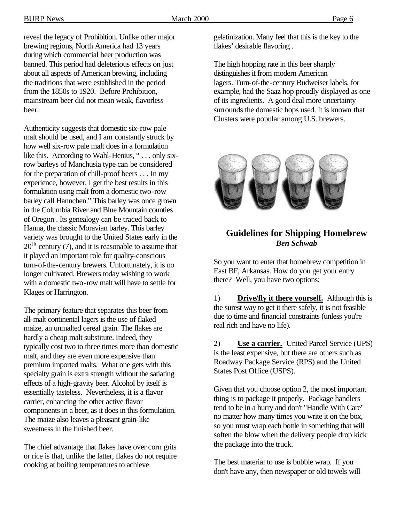BURP News 2000 March 2000 Page 6

reveal the legacy of Prohibition. Unlike other major brewing regions, North America had 13 years during which commercial beer production was banned. This period had deleterious effects on just about all aspects of American brewing, including the traditions that were established in the period from the 1850s to 1920. Before Prohibition, mainstream beer did not mean weak, flavorless beer.

Authenticity suggests that domestic six-row pale malt should be used, and I am constantly struck by how well six-row pale malt does in a formulation like this. According to Wahl-Henius, "... only sixrow barleys of Manchusia type can be considered for the preparation of chill-proof beers . . . In my experience, however, I get the best results in this formulation using malt from a domestic two-row barley call Hannchen." This barley was once grown in the Columbia River and Blue Mountain counties of Oregon . Its genealogy can be traced back to Hanna, the classic Moravian barley. This barley variety was brought to the United States early in the  $20<sup>th</sup>$  century (7), and it is reasonable to assume that it played an important role for quality-conscious turn-of-the-century brewers. Unfortunately, it is no longer cultivated. Brewers today wishing to work with a domestic two-row malt will have to settle for Klages or Harrington.

The primary feature that separates this beer from all-malt continental lagers is the use of flaked maize, an unmalted cereal grain. The flakes are hardly a cheap malt substitute. Indeed, they typically cost two to three times more than domestic malt, and they are even more expensive than premium imported malts. What one gets with this specialty grain is extra strength without the satiating effects of a high-gravity beer. Alcohol by itself is essentially tasteless. Nevertheless, it is a flavor carrier, enhancing the other active flavor components in a beer, as it does in this formulation. The maize also leaves a pleasant grain-like sweetness in the finished beer.

The chief advantage that flakes have over corn grits or rice is that, unlike the latter, flakes do not require cooking at boiling temperatures to achieve

gelatinization. Many feel that this is the key to the flakes' desirable flavoring .

The high hopping rate in this beer sharply distinguishes it from modern American lagers. Turn-of-the-century Budweiser labels, for example, had the Saaz hop proudly displayed as one of its ingredients. A good deal more uncertainty surrounds the domestic hops used. It is known that Clusters were popular among U.S. brewers.



# **Guidelines for Shipping Homebrew** *Ben Schwab*

So you want to enter that homebrew competition in East BF, Arkansas. How do you get your entry there? Well, you have two options:

1) **Drive/fly it there yourself.** Although this is the surest way to get it there safely, it is not feasible due to time and financial constraints (unless you're real rich and have no life).

2) **Use a carrier.** United Parcel Service (UPS) is the least expensive, but there are others such as Roadway Package Service (RPS) and the United States Post Office (USPS).

Given that you choose option 2, the most important thing is to package it properly. Package handlers tend to be in a hurry and don't "Handle With Care" no matter how many times you write it on the box, so you must wrap each bottle in something that will soften the blow when the delivery people drop kick the package into the truck.

The best material to use is bubble wrap. If you don't have any, then newspaper or old towels will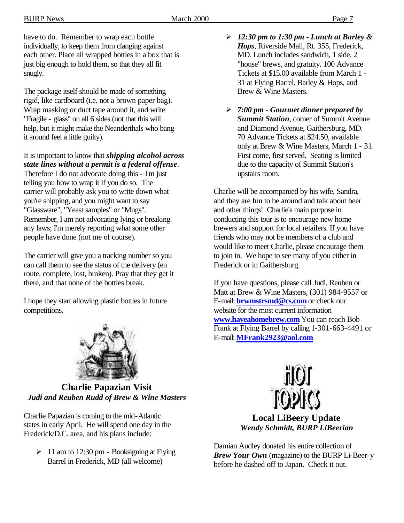have to do. Remember to wrap each bottle individually, to keep them from clanging against each other. Place all wrapped bottles in a box that is just big enough to hold them, so that they all fit snugly.

The package itself should be made of something rigid, like cardboard (i.e. not a brown paper bag). Wrap masking or duct tape around it, and write "Fragile - glass" on all 6 sides (not that this will help, but it might make the Neanderthals who bang it around feel a little guilty).

## It is important to know that *shipping alcohol across state lines without a permit is a federal offense*.

Therefore I do not advocate doing this - I'm just telling you how to wrap it if you do so. The carrier will probably ask you to write down what you're shipping, and you might want to say "Glassware", "Yeast samples" or "Mugs". Remember, I am not advocating lying or breaking any laws; I'm merely reporting what some other people have done (not me of course).

The carrier will give you a tracking number so you can call them to see the status of the delivery (en route, complete, lost, broken). Pray that they get it there, and that none of the bottles break.

I hope they start allowing plastic bottles in future competitions.



**Charlie Papazian Visit** *Judi and Reuben Rudd of Brew & Wine Masters*

Charlie Papazian is coming to the mid-Atlantic states in early April. He will spend one day in the Frederick/D.C. area, and his plans include:

 $\geq 11$  am to 12:30 pm - Booksigning at Flying Barrel in Frederick, MD (all welcome)

- ÿ *12:30 pm to 1:30 pm Lunch at Barley & Hops*, Riverside Mall, Rt. 355, Frederick, MD. Lunch includes sandwich, 1 side, 2 "house" brews, and gratuity. 100 Advance Tickets at \$15.00 available from March 1 - 31 at Flying Barrel, Barley & Hops, and Brew & Wine Masters.
- ÿ *7:00 pm Gourmet dinner prepared by Summit Station*, corner of Summit Avenue and Diamond Avenue, Gaithersburg, MD. 70 Advance Tickets at \$24.50, available only at Brew & Wine Masters, March 1 - 31. First come, first served. Seating is limited due to the capacity of Summit Station's upstairs room.

Charlie will be accompanied by his wife, Sandra, and they are fun to be around and talk about beer and other things! Charlie's main purpose in conducting this tour is to encourage new home brewers and support for local retailers. If you have friends who may not be members of a club and would like to meet Charlie, please encourage them to join in. We hope to see many of you either in Frederick or in Gaithersburg.

If you have questions, please call Judi, Reuben or Matt at Brew & Wine Masters, (301) 984-9557 or E-mail: **brwmstrsmd@cs.com** or check our website for the most current information **www.haveahomebrew.com** You can reach Bob Frank at Flying Barrel by calling 1-301-663-4491 or E-mail: **MFrank2923@aol.com**



**Local LiBeery Update** *Wendy Schmidt, BURP LiBeerian*

Damian Audley donated his entire collection of *Brew Your Own* (magazine) to the BURP Li-Beer-y before he dashed off to Japan. Check it out.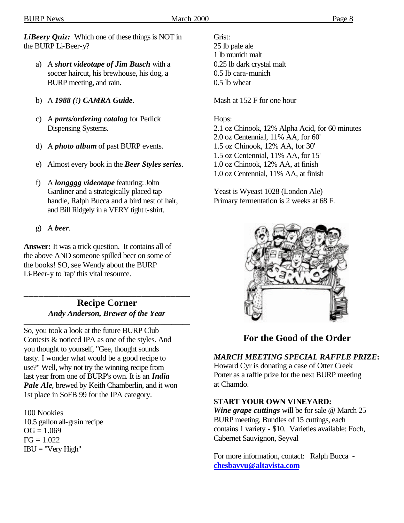*LiBeery Quiz:* Which one of these things is NOT in the BURP Li-Beer-y?

- a) A *short videotape of Jim Busch* with a soccer haircut, his brewhouse, his dog, a BURP meeting, and rain.
- b) A *1988 (!) CAMRA Guide*.
- c) A *parts/ordering catalog* for Perlick Dispensing Systems.
- d) A *photo album* of past BURP events.
- e) Almost every book in the *Beer Styles series*.
- f) A *longggg videotape* featuring: John Gardiner and a strategically placed tap handle, Ralph Bucca and a bird nest of hair, and Bill Ridgely in a VERY tight t-shirt.
- g) A *beer*.

**Answer:** It was a trick question. It contains all of the above AND someone spilled beer on some of the books! SO, see Wendy about the BURP Li-Beer-y to 'tap' this vital resource.

\_\_\_\_\_\_\_\_\_\_\_\_\_\_\_\_\_\_\_\_\_\_\_\_\_\_\_\_\_\_\_\_\_\_ **Recipe Corner** *Andy Anderson, Brewer of the Year*

\_\_\_\_\_\_\_\_\_\_\_\_\_\_\_\_\_\_\_\_\_\_\_\_\_\_\_\_\_\_\_\_\_\_\_\_\_\_\_\_\_\_\_\_\_

So, you took a look at the future BURP Club Contests & noticed IPA as one of the styles. And you thought to yourself, "Gee, thought sounds tasty. I wonder what would be a good recipe to use?" Well, why not try the winning recipe from last year from one of BURP's own. It is an *India*  Pale Ale, brewed by Keith Chamberlin, and it won 1st place in SoFB 99 for the IPA category.

100 Nookies 10.5 gallon all-grain recipe  $OG = 1.069$  $FG = 1.022$  $IBU = "Very High"$ 

Grist: 25 lb pale ale 1 lb munich malt 0.25 lb dark crystal malt 0.5 lb cara-munich 0.5 lb wheat

Mash at 152 F for one hour

#### Hops:

2.1 oz Chinook, 12% Alpha Acid, for 60 minutes 2.0 oz Centennial, 11% AA, for 60' 1.5 oz Chinook, 12% AA, for 30' 1.5 oz Centennial, 11% AA, for 15' 1.0 oz Chinook, 12% AA, at finish 1.0 oz Centennial, 11% AA, at finish

Yeast is Wyeast 1028 (London Ale) Primary fermentation is 2 weeks at 68 F.



# **For the Good of the Order**

#### *MARCH MEETING SPECIAL RAFFLE PRIZE***:**

Howard Cyr is donating a case of Otter Creek Porter as a raffle prize for the next BURP meeting at Chamdo.

#### **START YOUR OWN VINEYARD:**

*Wine grape cuttings* will be for sale @ March 25 BURP meeting. Bundles of 15 cuttings, each contains 1 variety - \$10. Varieties available: Foch, Cabernet Sauvignon, Seyval

For more information, contact: Ralph Bucca **chesbayvu@altavista.com**